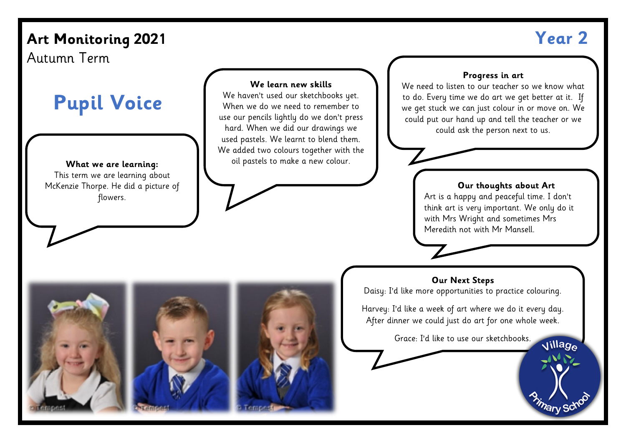